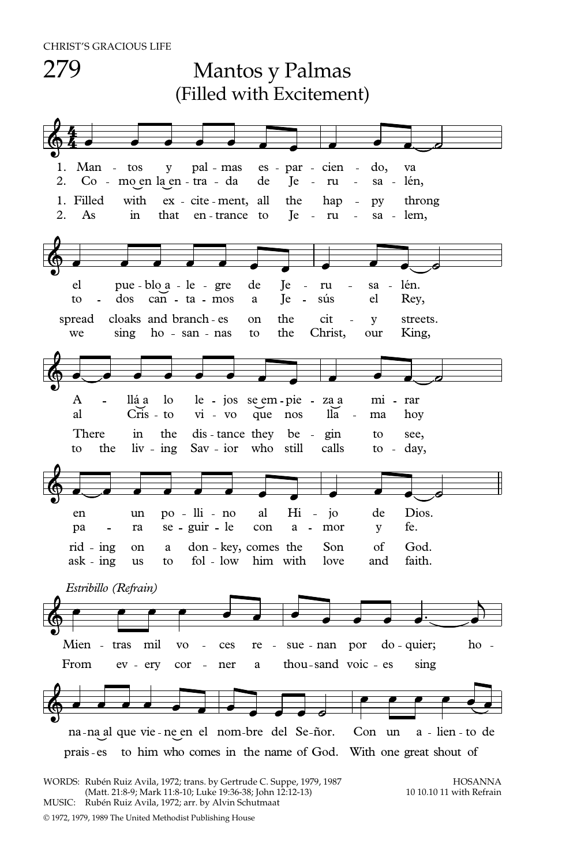

WORDS: Rubén Ruiz Avila, 1972; trans. by Gertrude C. Suppe, 1979, 1987<br>Matt. 21:8-9: Mark 11:8-10: Luke 19:36-38: Iohn 12:12-13) (Matt. 21:8-9: Mark 11:8-10: Luke 19:36-38: Iohn 12:12-13) (Matt. 21:8-9; Mark 11:8-10; Luke 19:36-38; John 12:12-13) MUSIC: Rubén Ruiz Avila, 1972; arr. by Alvin Schutmaat